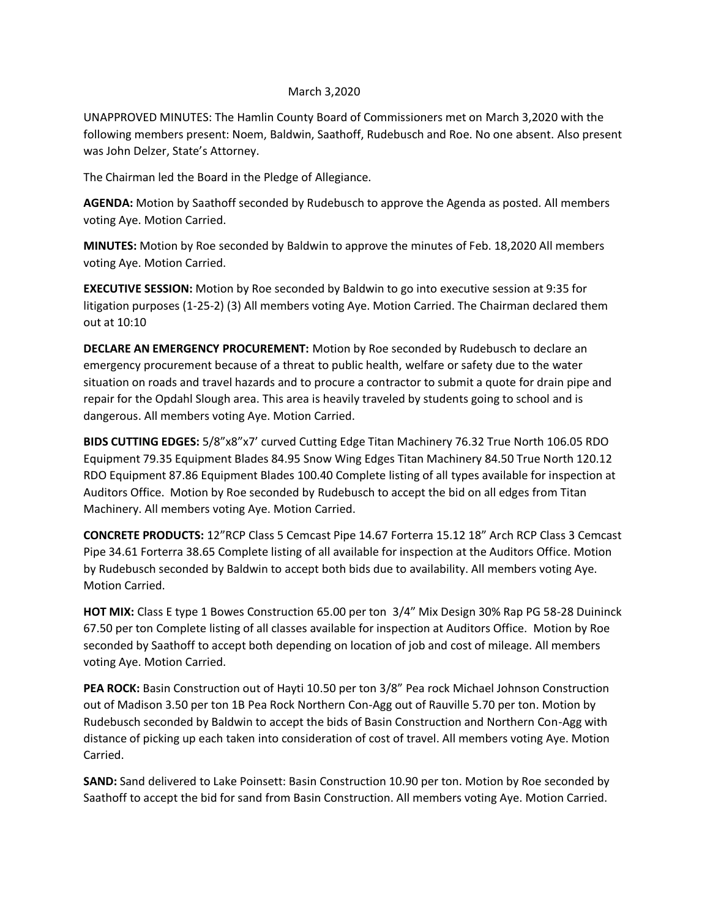## March 3,2020

UNAPPROVED MINUTES: The Hamlin County Board of Commissioners met on March 3,2020 with the following members present: Noem, Baldwin, Saathoff, Rudebusch and Roe. No one absent. Also present was John Delzer, State's Attorney.

The Chairman led the Board in the Pledge of Allegiance.

**AGENDA:** Motion by Saathoff seconded by Rudebusch to approve the Agenda as posted. All members voting Aye. Motion Carried.

**MINUTES:** Motion by Roe seconded by Baldwin to approve the minutes of Feb. 18,2020 All members voting Aye. Motion Carried.

**EXECUTIVE SESSION:** Motion by Roe seconded by Baldwin to go into executive session at 9:35 for litigation purposes (1-25-2) (3) All members voting Aye. Motion Carried. The Chairman declared them out at 10:10

**DECLARE AN EMERGENCY PROCUREMENT:** Motion by Roe seconded by Rudebusch to declare an emergency procurement because of a threat to public health, welfare or safety due to the water situation on roads and travel hazards and to procure a contractor to submit a quote for drain pipe and repair for the Opdahl Slough area. This area is heavily traveled by students going to school and is dangerous. All members voting Aye. Motion Carried.

**BIDS CUTTING EDGES:** 5/8"x8"x7' curved Cutting Edge Titan Machinery 76.32 True North 106.05 RDO Equipment 79.35 Equipment Blades 84.95 Snow Wing Edges Titan Machinery 84.50 True North 120.12 RDO Equipment 87.86 Equipment Blades 100.40 Complete listing of all types available for inspection at Auditors Office. Motion by Roe seconded by Rudebusch to accept the bid on all edges from Titan Machinery. All members voting Aye. Motion Carried.

**CONCRETE PRODUCTS:** 12"RCP Class 5 Cemcast Pipe 14.67 Forterra 15.12 18" Arch RCP Class 3 Cemcast Pipe 34.61 Forterra 38.65 Complete listing of all available for inspection at the Auditors Office. Motion by Rudebusch seconded by Baldwin to accept both bids due to availability. All members voting Aye. Motion Carried.

**HOT MIX:** Class E type 1 Bowes Construction 65.00 per ton 3/4" Mix Design 30% Rap PG 58-28 Duininck 67.50 per ton Complete listing of all classes available for inspection at Auditors Office. Motion by Roe seconded by Saathoff to accept both depending on location of job and cost of mileage. All members voting Aye. Motion Carried.

**PEA ROCK:** Basin Construction out of Hayti 10.50 per ton 3/8" Pea rock Michael Johnson Construction out of Madison 3.50 per ton 1B Pea Rock Northern Con-Agg out of Rauville 5.70 per ton. Motion by Rudebusch seconded by Baldwin to accept the bids of Basin Construction and Northern Con-Agg with distance of picking up each taken into consideration of cost of travel. All members voting Aye. Motion Carried.

**SAND:** Sand delivered to Lake Poinsett: Basin Construction 10.90 per ton. Motion by Roe seconded by Saathoff to accept the bid for sand from Basin Construction. All members voting Aye. Motion Carried.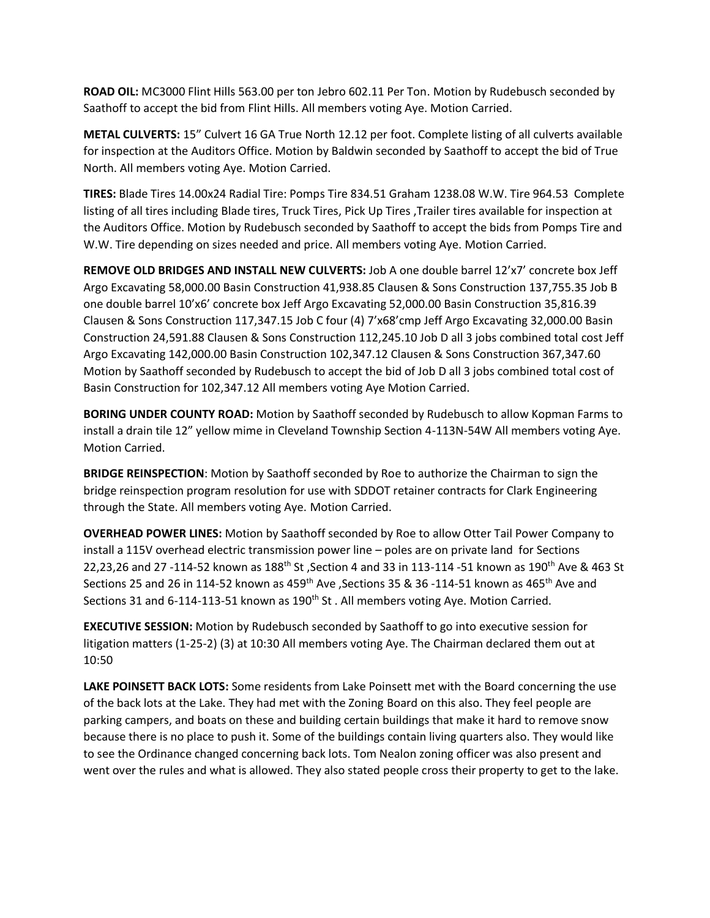**ROAD OIL:** MC3000 Flint Hills 563.00 per ton Jebro 602.11 Per Ton. Motion by Rudebusch seconded by Saathoff to accept the bid from Flint Hills. All members voting Aye. Motion Carried.

**METAL CULVERTS:** 15" Culvert 16 GA True North 12.12 per foot. Complete listing of all culverts available for inspection at the Auditors Office. Motion by Baldwin seconded by Saathoff to accept the bid of True North. All members voting Aye. Motion Carried.

**TIRES:** Blade Tires 14.00x24 Radial Tire: Pomps Tire 834.51 Graham 1238.08 W.W. Tire 964.53 Complete listing of all tires including Blade tires, Truck Tires, Pick Up Tires ,Trailer tires available for inspection at the Auditors Office. Motion by Rudebusch seconded by Saathoff to accept the bids from Pomps Tire and W.W. Tire depending on sizes needed and price. All members voting Aye. Motion Carried.

**REMOVE OLD BRIDGES AND INSTALL NEW CULVERTS:** Job A one double barrel 12'x7' concrete box Jeff Argo Excavating 58,000.00 Basin Construction 41,938.85 Clausen & Sons Construction 137,755.35 Job B one double barrel 10'x6' concrete box Jeff Argo Excavating 52,000.00 Basin Construction 35,816.39 Clausen & Sons Construction 117,347.15 Job C four (4) 7'x68'cmp Jeff Argo Excavating 32,000.00 Basin Construction 24,591.88 Clausen & Sons Construction 112,245.10 Job D all 3 jobs combined total cost Jeff Argo Excavating 142,000.00 Basin Construction 102,347.12 Clausen & Sons Construction 367,347.60 Motion by Saathoff seconded by Rudebusch to accept the bid of Job D all 3 jobs combined total cost of Basin Construction for 102,347.12 All members voting Aye Motion Carried.

**BORING UNDER COUNTY ROAD:** Motion by Saathoff seconded by Rudebusch to allow Kopman Farms to install a drain tile 12" yellow mime in Cleveland Township Section 4-113N-54W All members voting Aye. Motion Carried.

**BRIDGE REINSPECTION**: Motion by Saathoff seconded by Roe to authorize the Chairman to sign the bridge reinspection program resolution for use with SDDOT retainer contracts for Clark Engineering through the State. All members voting Aye. Motion Carried.

**OVERHEAD POWER LINES:** Motion by Saathoff seconded by Roe to allow Otter Tail Power Company to install a 115V overhead electric transmission power line – poles are on private land for Sections 22,23,26 and 27 -114-52 known as 188<sup>th</sup> St, Section 4 and 33 in 113-114 -51 known as 190<sup>th</sup> Ave & 463 St Sections 25 and 26 in 114-52 known as 459<sup>th</sup> Ave , Sections 35 & 36 -114-51 known as 465<sup>th</sup> Ave and Sections 31 and 6-114-113-51 known as 190<sup>th</sup> St. All members voting Aye. Motion Carried.

**EXECUTIVE SESSION:** Motion by Rudebusch seconded by Saathoff to go into executive session for litigation matters (1-25-2) (3) at 10:30 All members voting Aye. The Chairman declared them out at 10:50

**LAKE POINSETT BACK LOTS:** Some residents from Lake Poinsett met with the Board concerning the use of the back lots at the Lake. They had met with the Zoning Board on this also. They feel people are parking campers, and boats on these and building certain buildings that make it hard to remove snow because there is no place to push it. Some of the buildings contain living quarters also. They would like to see the Ordinance changed concerning back lots. Tom Nealon zoning officer was also present and went over the rules and what is allowed. They also stated people cross their property to get to the lake.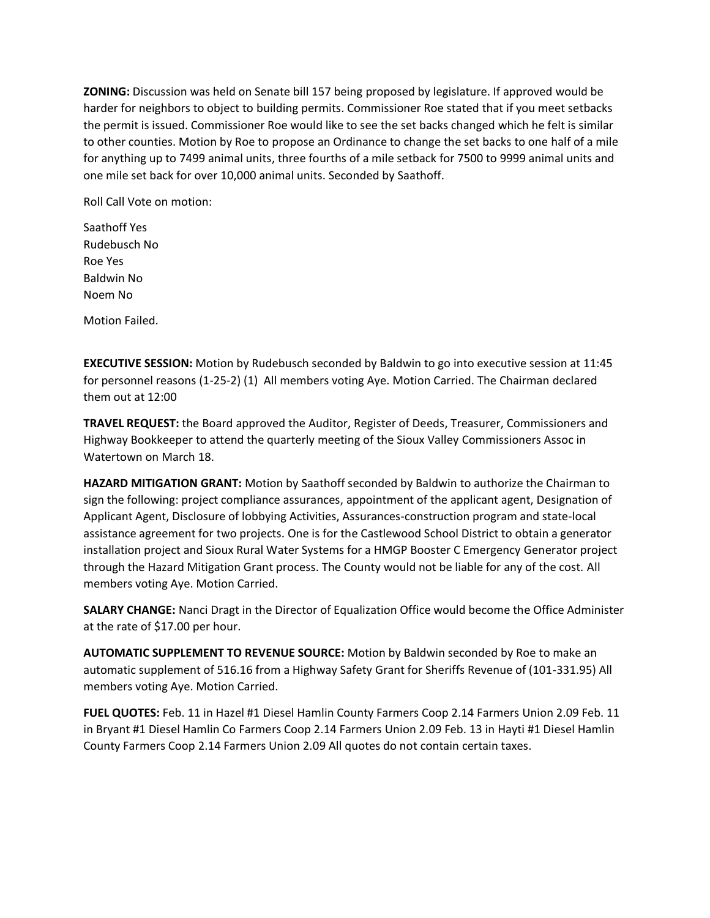**ZONING:** Discussion was held on Senate bill 157 being proposed by legislature. If approved would be harder for neighbors to object to building permits. Commissioner Roe stated that if you meet setbacks the permit is issued. Commissioner Roe would like to see the set backs changed which he felt is similar to other counties. Motion by Roe to propose an Ordinance to change the set backs to one half of a mile for anything up to 7499 animal units, three fourths of a mile setback for 7500 to 9999 animal units and one mile set back for over 10,000 animal units. Seconded by Saathoff.

Roll Call Vote on motion:

Saathoff Yes Rudebusch No Roe Yes Baldwin No Noem No

Motion Failed.

**EXECUTIVE SESSION:** Motion by Rudebusch seconded by Baldwin to go into executive session at 11:45 for personnel reasons (1-25-2) (1) All members voting Aye. Motion Carried. The Chairman declared them out at 12:00

**TRAVEL REQUEST:** the Board approved the Auditor, Register of Deeds, Treasurer, Commissioners and Highway Bookkeeper to attend the quarterly meeting of the Sioux Valley Commissioners Assoc in Watertown on March 18.

**HAZARD MITIGATION GRANT:** Motion by Saathoff seconded by Baldwin to authorize the Chairman to sign the following: project compliance assurances, appointment of the applicant agent, Designation of Applicant Agent, Disclosure of lobbying Activities, Assurances-construction program and state-local assistance agreement for two projects. One is for the Castlewood School District to obtain a generator installation project and Sioux Rural Water Systems for a HMGP Booster C Emergency Generator project through the Hazard Mitigation Grant process. The County would not be liable for any of the cost. All members voting Aye. Motion Carried.

**SALARY CHANGE:** Nanci Dragt in the Director of Equalization Office would become the Office Administer at the rate of \$17.00 per hour.

**AUTOMATIC SUPPLEMENT TO REVENUE SOURCE:** Motion by Baldwin seconded by Roe to make an automatic supplement of 516.16 from a Highway Safety Grant for Sheriffs Revenue of (101-331.95) All members voting Aye. Motion Carried.

**FUEL QUOTES:** Feb. 11 in Hazel #1 Diesel Hamlin County Farmers Coop 2.14 Farmers Union 2.09 Feb. 11 in Bryant #1 Diesel Hamlin Co Farmers Coop 2.14 Farmers Union 2.09 Feb. 13 in Hayti #1 Diesel Hamlin County Farmers Coop 2.14 Farmers Union 2.09 All quotes do not contain certain taxes.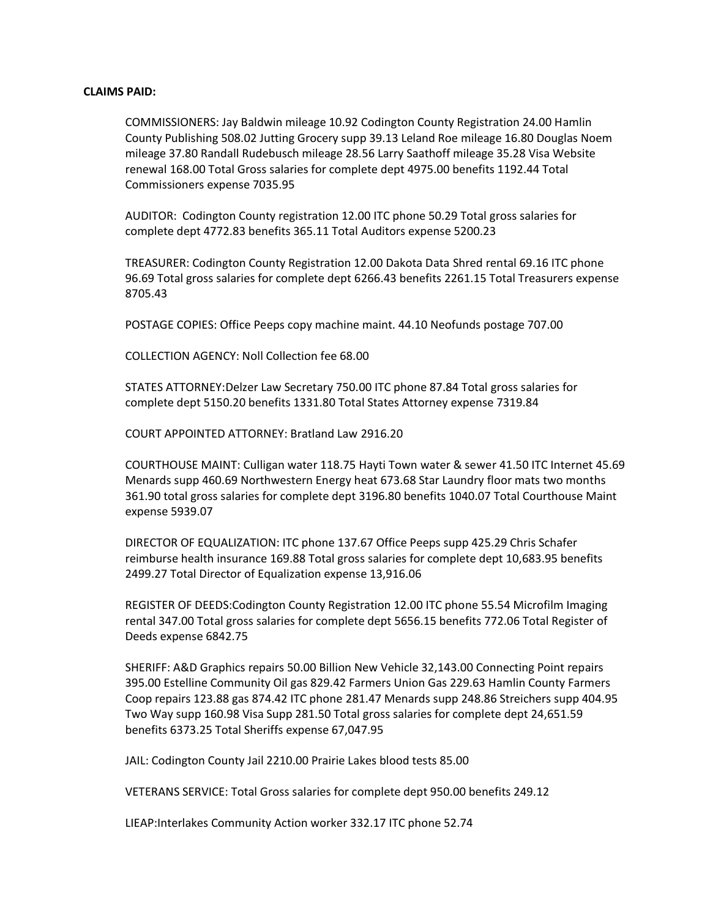## **CLAIMS PAID:**

COMMISSIONERS: Jay Baldwin mileage 10.92 Codington County Registration 24.00 Hamlin County Publishing 508.02 Jutting Grocery supp 39.13 Leland Roe mileage 16.80 Douglas Noem mileage 37.80 Randall Rudebusch mileage 28.56 Larry Saathoff mileage 35.28 Visa Website renewal 168.00 Total Gross salaries for complete dept 4975.00 benefits 1192.44 Total Commissioners expense 7035.95

AUDITOR: Codington County registration 12.00 ITC phone 50.29 Total gross salaries for complete dept 4772.83 benefits 365.11 Total Auditors expense 5200.23

TREASURER: Codington County Registration 12.00 Dakota Data Shred rental 69.16 ITC phone 96.69 Total gross salaries for complete dept 6266.43 benefits 2261.15 Total Treasurers expense 8705.43

POSTAGE COPIES: Office Peeps copy machine maint. 44.10 Neofunds postage 707.00

COLLECTION AGENCY: Noll Collection fee 68.00

STATES ATTORNEY:Delzer Law Secretary 750.00 ITC phone 87.84 Total gross salaries for complete dept 5150.20 benefits 1331.80 Total States Attorney expense 7319.84

COURT APPOINTED ATTORNEY: Bratland Law 2916.20

COURTHOUSE MAINT: Culligan water 118.75 Hayti Town water & sewer 41.50 ITC Internet 45.69 Menards supp 460.69 Northwestern Energy heat 673.68 Star Laundry floor mats two months 361.90 total gross salaries for complete dept 3196.80 benefits 1040.07 Total Courthouse Maint expense 5939.07

DIRECTOR OF EQUALIZATION: ITC phone 137.67 Office Peeps supp 425.29 Chris Schafer reimburse health insurance 169.88 Total gross salaries for complete dept 10,683.95 benefits 2499.27 Total Director of Equalization expense 13,916.06

REGISTER OF DEEDS:Codington County Registration 12.00 ITC phone 55.54 Microfilm Imaging rental 347.00 Total gross salaries for complete dept 5656.15 benefits 772.06 Total Register of Deeds expense 6842.75

SHERIFF: A&D Graphics repairs 50.00 Billion New Vehicle 32,143.00 Connecting Point repairs 395.00 Estelline Community Oil gas 829.42 Farmers Union Gas 229.63 Hamlin County Farmers Coop repairs 123.88 gas 874.42 ITC phone 281.47 Menards supp 248.86 Streichers supp 404.95 Two Way supp 160.98 Visa Supp 281.50 Total gross salaries for complete dept 24,651.59 benefits 6373.25 Total Sheriffs expense 67,047.95

JAIL: Codington County Jail 2210.00 Prairie Lakes blood tests 85.00

VETERANS SERVICE: Total Gross salaries for complete dept 950.00 benefits 249.12

LIEAP:Interlakes Community Action worker 332.17 ITC phone 52.74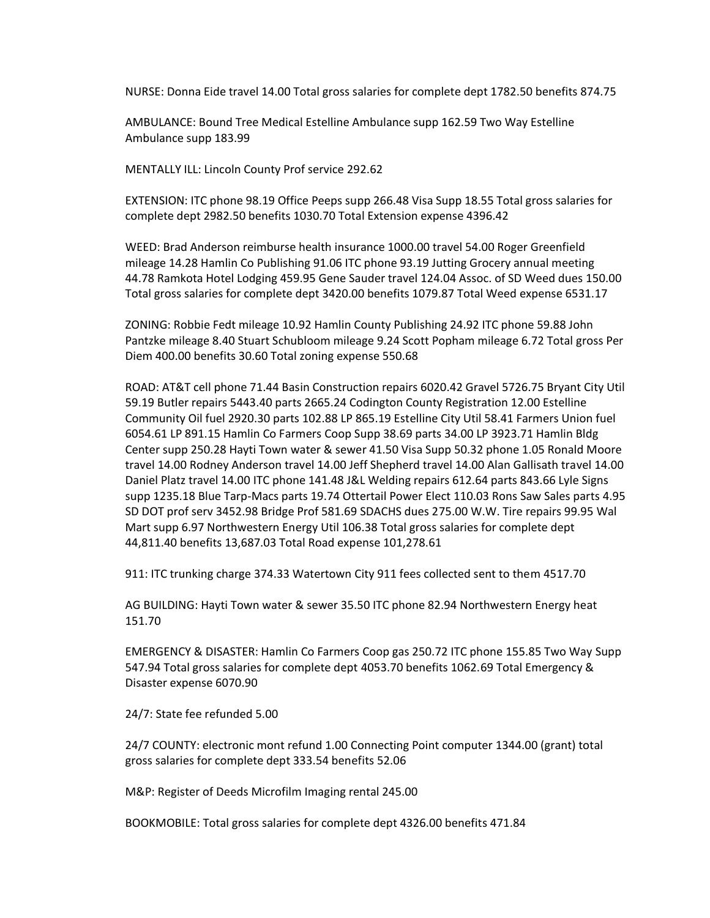NURSE: Donna Eide travel 14.00 Total gross salaries for complete dept 1782.50 benefits 874.75

AMBULANCE: Bound Tree Medical Estelline Ambulance supp 162.59 Two Way Estelline Ambulance supp 183.99

MENTALLY ILL: Lincoln County Prof service 292.62

EXTENSION: ITC phone 98.19 Office Peeps supp 266.48 Visa Supp 18.55 Total gross salaries for complete dept 2982.50 benefits 1030.70 Total Extension expense 4396.42

WEED: Brad Anderson reimburse health insurance 1000.00 travel 54.00 Roger Greenfield mileage 14.28 Hamlin Co Publishing 91.06 ITC phone 93.19 Jutting Grocery annual meeting 44.78 Ramkota Hotel Lodging 459.95 Gene Sauder travel 124.04 Assoc. of SD Weed dues 150.00 Total gross salaries for complete dept 3420.00 benefits 1079.87 Total Weed expense 6531.17

ZONING: Robbie Fedt mileage 10.92 Hamlin County Publishing 24.92 ITC phone 59.88 John Pantzke mileage 8.40 Stuart Schubloom mileage 9.24 Scott Popham mileage 6.72 Total gross Per Diem 400.00 benefits 30.60 Total zoning expense 550.68

ROAD: AT&T cell phone 71.44 Basin Construction repairs 6020.42 Gravel 5726.75 Bryant City Util 59.19 Butler repairs 5443.40 parts 2665.24 Codington County Registration 12.00 Estelline Community Oil fuel 2920.30 parts 102.88 LP 865.19 Estelline City Util 58.41 Farmers Union fuel 6054.61 LP 891.15 Hamlin Co Farmers Coop Supp 38.69 parts 34.00 LP 3923.71 Hamlin Bldg Center supp 250.28 Hayti Town water & sewer 41.50 Visa Supp 50.32 phone 1.05 Ronald Moore travel 14.00 Rodney Anderson travel 14.00 Jeff Shepherd travel 14.00 Alan Gallisath travel 14.00 Daniel Platz travel 14.00 ITC phone 141.48 J&L Welding repairs 612.64 parts 843.66 Lyle Signs supp 1235.18 Blue Tarp-Macs parts 19.74 Ottertail Power Elect 110.03 Rons Saw Sales parts 4.95 SD DOT prof serv 3452.98 Bridge Prof 581.69 SDACHS dues 275.00 W.W. Tire repairs 99.95 Wal Mart supp 6.97 Northwestern Energy Util 106.38 Total gross salaries for complete dept 44,811.40 benefits 13,687.03 Total Road expense 101,278.61

911: ITC trunking charge 374.33 Watertown City 911 fees collected sent to them 4517.70

AG BUILDING: Hayti Town water & sewer 35.50 ITC phone 82.94 Northwestern Energy heat 151.70

EMERGENCY & DISASTER: Hamlin Co Farmers Coop gas 250.72 ITC phone 155.85 Two Way Supp 547.94 Total gross salaries for complete dept 4053.70 benefits 1062.69 Total Emergency & Disaster expense 6070.90

24/7: State fee refunded 5.00

24/7 COUNTY: electronic mont refund 1.00 Connecting Point computer 1344.00 (grant) total gross salaries for complete dept 333.54 benefits 52.06

M&P: Register of Deeds Microfilm Imaging rental 245.00

BOOKMOBILE: Total gross salaries for complete dept 4326.00 benefits 471.84